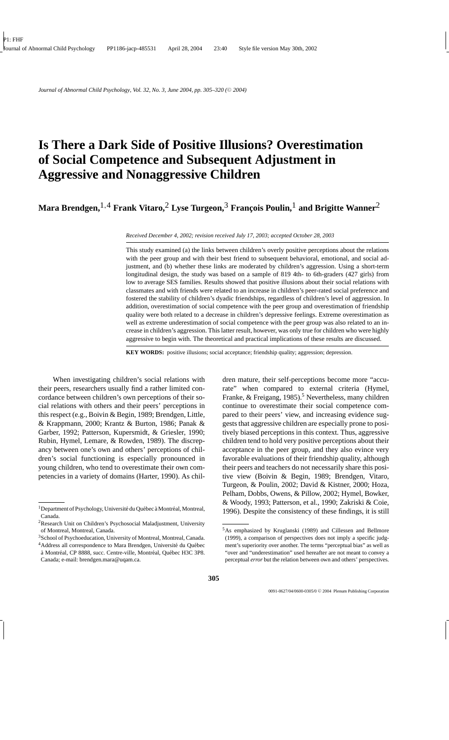# **Is There a Dark Side of Positive Illusions? Overestimation of Social Competence and Subsequent Adjustment in Aggressive and Nonaggressive Children**

**Mara Brendgen,**<sup>1,4</sup> **Frank Vitaro,**<sup>2</sup> **Lyse Turgeon,**<sup>3</sup> **François Poulin,**<sup>1</sup> and Brigitte Wanner<sup>2</sup>

*Received December 4, 2002; revision received July 17, 2003; accepted October 28, 2003*

This study examined (a) the links between children's overly positive perceptions about the relations with the peer group and with their best friend to subsequent behavioral, emotional, and social adjustment, and (b) whether these links are moderated by children's aggression. Using a short-term longitudinal design, the study was based on a sample of 819 4th- to 6th-graders (427 girls) from low to average SES families. Results showed that positive illusions about their social relations with classmates and with friends were related to an increase in children's peer-rated social preference and fostered the stability of children's dyadic friendships, regardless of children's level of aggression. In addition, overestimation of social competence with the peer group and overestimation of friendship quality were both related to a decrease in children's depressive feelings. Extreme overestimation as well as extreme underestimation of social competence with the peer group was also related to an increase in children's aggression. This latter result, however, was only true for children who were highly aggressive to begin with. The theoretical and practical implications of these results are discussed.

**KEY WORDS:** positive illusions; social acceptance; friendship quality; aggression; depression.

When investigating children's social relations with their peers, researchers usually find a rather limited concordance between children's own perceptions of their social relations with others and their peers' perceptions in this respect (e.g., Boivin & Begin, 1989; Brendgen, Little, & Krappmann, 2000; Krantz & Burton, 1986; Panak & Garber, 1992; Patterson, Kupersmidt, & Griesler, 1990; Rubin, Hymel, Lemare, & Rowden, 1989). The discrepancy between one's own and others' perceptions of children's social functioning is especially pronounced in young children, who tend to overestimate their own competencies in a variety of domains (Harter, 1990). As chil-

dren mature, their self-perceptions become more "accurate" when compared to external criteria (Hymel, Franke, & Freigang, 1985).<sup>5</sup> Nevertheless, many children continue to overestimate their social competence compared to their peers' view, and increasing evidence suggests that aggressive children are especially prone to positively biased perceptions in this context. Thus, aggressive children tend to hold very positive perceptions about their acceptance in the peer group, and they also evince very favorable evaluations of their friendship quality, although their peers and teachers do not necessarily share this positive view (Boivin & Begin, 1989; Brendgen, Vitaro, Turgeon, & Poulin, 2002; David & Kistner, 2000; Hoza, Pelham, Dobbs, Owens, & Pillow, 2002; Hymel, Bowker, & Woody, 1993; Patterson, et al., 1990; Zakriski & Coie, 1996). Despite the consistency of these findings, it is still

<sup>&</sup>lt;sup>1</sup> Department of Psychology, Université du Québec à Montréal, Montreal, Canada.

<sup>2</sup>Research Unit on Children's Psychosocial Maladjustment, University of Montreal, Montreal, Canada.

<sup>3</sup>School of Psychoeducation, University of Montreal, Montreal, Canada. <sup>4</sup>Address all correspondence to Mara Brendgen, Université du Québec à Montréal, CP 8888, succ. Centre-ville, Montréal, Québec H3C 3P8. Canada; e-mail: brendgen.mara@uqam.ca.

<sup>5</sup>As emphasized by Kruglanski (1989) and Cillessen and Bellmore (1999), a comparison of perspectives does not imply a specific judgment's superiority over another. The terms "perceptual bias" as well as "over and "underestimation" used hereafter are not meant to convey a perceptual *error* but the relation between own and others' perspectives.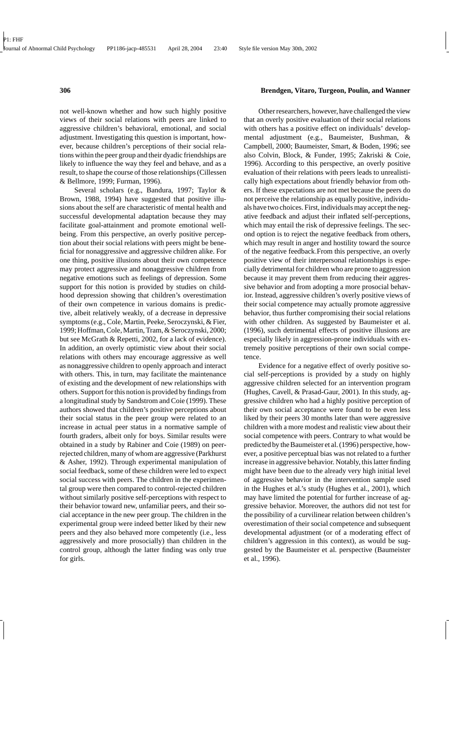not well-known whether and how such highly positive views of their social relations with peers are linked to aggressive children's behavioral, emotional, and social adjustment. Investigating this question is important, however, because children's perceptions of their social relations within the peer group and their dyadic friendships are likely to influence the way they feel and behave, and as a result, to shape the course of those relationships (Cillessen & Bellmore, 1999; Furman, 1996).

Several scholars (e.g., Bandura, 1997; Taylor & Brown, 1988, 1994) have suggested that positive illusions about the self are characteristic of mental health and successful developmental adaptation because they may facilitate goal-attainment and promote emotional wellbeing. From this perspective, an overly positive perception about their social relations with peers might be beneficial for nonaggressive and aggressive children alike. For one thing, positive illusions about their own competence may protect aggressive and nonaggressive children from negative emotions such as feelings of depression. Some support for this notion is provided by studies on childhood depression showing that children's overestimation of their own competence in various domains is predictive, albeit relatively weakly, of a decrease in depressive symptoms (e.g., Cole, Martin, Peeke, Seroczynski, & Fier, 1999; Hoffman, Cole, Martin, Tram, & Seroczynski, 2000; but see McGrath & Repetti, 2002, for a lack of evidence). In addition, an overly optimistic view about their social relations with others may encourage aggressive as well as nonaggressive children to openly approach and interact with others. This, in turn, may facilitate the maintenance of existing and the development of new relationships with others. Support for this notion is provided by findings from a longitudinal study by Sandstrom and Coie (1999). These authors showed that children's positive perceptions about their social status in the peer group were related to an increase in actual peer status in a normative sample of fourth graders, albeit only for boys. Similar results were obtained in a study by Rabiner and Coie (1989) on peerrejected children, many of whom are aggressive (Parkhurst & Asher, 1992). Through experimental manipulation of social feedback, some of these children were led to expect social success with peers. The children in the experimental group were then compared to control-rejected children without similarly positive self-perceptions with respect to their behavior toward new, unfamiliar peers, and their social acceptance in the new peer group. The children in the experimental group were indeed better liked by their new peers and they also behaved more competently (i.e., less aggressively and more prosocially) than children in the control group, although the latter finding was only true for girls.

## **306 Brendgen, Vitaro, Turgeon, Poulin, and Wanner**

Other researchers, however, have challenged the view that an overly positive evaluation of their social relations with others has a positive effect on individuals' developmental adjustment (e.g., Baumeister, Bushman, & Campbell, 2000; Baumeister, Smart, & Boden, 1996; see also Colvin, Block, & Funder, 1995; Zakriski & Coie, 1996). According to this perspective, an overly positive evaluation of their relations with peers leads to unrealistically high expectations about friendly behavior from others. If these expectations are not met because the peers do not perceive the relationship as equally positive, individuals have two choices. First, individuals may accept the negative feedback and adjust their inflated self-perceptions, which may entail the risk of depressive feelings. The second option is to reject the negative feedback from others, which may result in anger and hostility toward the source of the negative feedback.From this perspective, an overly positive view of their interpersonal relationships is especially detrimental for children who are prone to aggression because it may prevent them from reducing their aggressive behavior and from adopting a more prosocial behavior. Instead, aggressive children's overly positive views of their social competence may actually promote aggressive behavior, thus further compromising their social relations with other children. As suggested by Baumeister et al. (1996), such detrimental effects of positive illusions are especially likely in aggression-prone individuals with extremely positive perceptions of their own social competence.

Evidence for a negative effect of overly positive social self-perceptions is provided by a study on highly aggressive children selected for an intervention program (Hughes, Cavell, & Prasad-Gaur, 2001). In this study, aggressive children who had a highly positive perception of their own social acceptance were found to be even less liked by their peers 30 months later than were aggressive children with a more modest and realistic view about their social competence with peers. Contrary to what would be predicted by the Baumeister et al. (1996) perspective, however, a positive perceptual bias was not related to a further increase in aggressive behavior. Notably, this latter finding might have been due to the already very high initial level of aggressive behavior in the intervention sample used in the Hughes et al.'s study (Hughes et al., 2001), which may have limited the potential for further increase of aggressive behavior. Moreover, the authors did not test for the possibility of a curvilinear relation between children's overestimation of their social competence and subsequent developmental adjustment (or of a moderating effect of children's aggression in this context), as would be suggested by the Baumeister et al. perspective (Baumeister et al., 1996).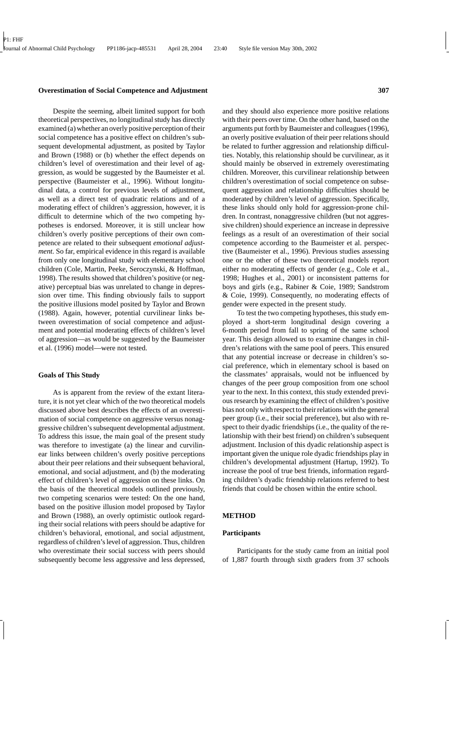# **Overestimation of Social Competence and Adjustment 307 307**

Despite the seeming, albeit limited support for both theoretical perspectives, no longitudinal study has directly examined (a) whether an overly positive perception of their social competence has a positive effect on children's subsequent developmental adjustment, as posited by Taylor and Brown (1988) or (b) whether the effect depends on children's level of overestimation and their level of aggression, as would be suggested by the Baumeister et al. perspective (Baumeister et al., 1996). Without longitudinal data, a control for previous levels of adjustment, as well as a direct test of quadratic relations and of a moderating effect of children's aggression, however, it is difficult to determine which of the two competing hypotheses is endorsed. Moreover, it is still unclear how children's overly positive perceptions of their own competence are related to their subsequent *emotional adjustment.* So far, empirical evidence in this regard is available from only one longitudinal study with elementary school children (Cole, Martin, Peeke, Seroczynski, & Hoffman, 1998). The results showed that children's positive (or negative) perceptual bias was unrelated to change in depression over time. This finding obviously fails to support the positive illusions model posited by Taylor and Brown (1988). Again, however, potential curvilinear links between overestimation of social competence and adjustment and potential moderating effects of children's level of aggression—as would be suggested by the Baumeister et al. (1996) model—were not tested.

## **Goals of This Study**

As is apparent from the review of the extant literature, it is not yet clear which of the two theoretical models discussed above best describes the effects of an overestimation of social competence on aggressive versus nonaggressive children's subsequent developmental adjustment. To address this issue, the main goal of the present study was therefore to investigate (a) the linear and curvilinear links between children's overly positive perceptions about their peer relations and their subsequent behavioral, emotional, and social adjustment, and (b) the moderating effect of children's level of aggression on these links. On the basis of the theoretical models outlined previously, two competing scenarios were tested: On the one hand, based on the positive illusion model proposed by Taylor and Brown (1988), an overly optimistic outlook regarding their social relations with peers should be adaptive for children's behavioral, emotional, and social adjustment, regardless of children's level of aggression. Thus, children who overestimate their social success with peers should subsequently become less aggressive and less depressed,

and they should also experience more positive relations with their peers over time. On the other hand, based on the arguments put forth by Baumeister and colleagues (1996), an overly positive evaluation of their peer relations should be related to further aggression and relationship difficulties. Notably, this relationship should be curvilinear, as it should mainly be observed in extremely overestimating children. Moreover, this curvilinear relationship between children's overestimation of social competence on subsequent aggression and relationship difficulties should be moderated by children's level of aggression. Specifically, these links should only hold for aggression-prone children. In contrast, nonaggressive children (but not aggressive children) should experience an increase in depressive feelings as a result of an overestimation of their social competence according to the Baumeister et al. perspective (Baumeister et al., 1996). Previous studies assessing one or the other of these two theoretical models report either no moderating effects of gender (e.g., Cole et al., 1998; Hughes et al., 2001) or inconsistent patterns for boys and girls (e.g., Rabiner & Coie, 1989; Sandstrom & Coie, 1999). Consequently, no moderating effects of gender were expected in the present study.

To test the two competing hypotheses, this study employed a short-term longitudinal design covering a 6-month period from fall to spring of the same school year. This design allowed us to examine changes in children's relations with the same pool of peers. This ensured that any potential increase or decrease in children's social preference, which in elementary school is based on the classmates' appraisals, would not be influenced by changes of the peer group composition from one school year to the next. In this context, this study extended previous research by examining the effect of children's positive bias not only with respect to their relations with the general peer group (i.e., their social preference), but also with respect to their dyadic friendships (i.e., the quality of the relationship with their best friend) on children's subsequent adjustment. Inclusion of this dyadic relationship aspect is important given the unique role dyadic friendships play in children's developmental adjustment (Hartup, 1992). To increase the pool of true best friends, information regarding children's dyadic friendship relations referred to best friends that could be chosen within the entire school.

## **METHOD**

#### **Participants**

Participants for the study came from an initial pool of 1,887 fourth through sixth graders from 37 schools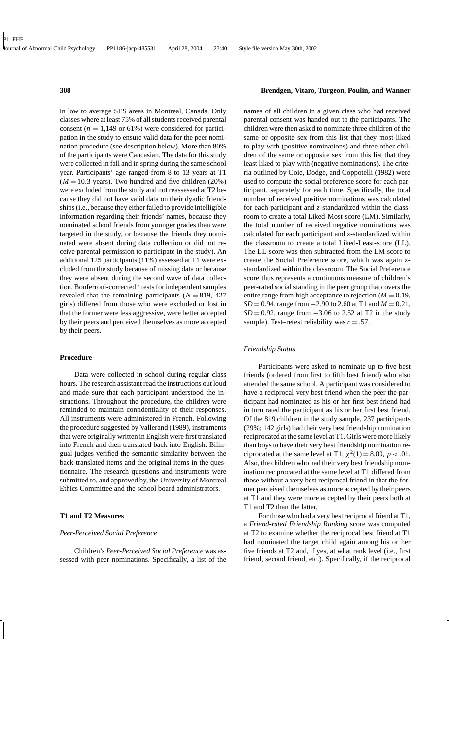in low to average SES areas in Montreal, Canada. Only classes where at least 75% of all students received parental consent  $(n = 1,149)$  or 61%) were considered for participation in the study to ensure valid data for the peer nomination procedure (see description below). More than 80% of the participants were Caucasian. The data for this study were collected in fall and in spring during the same school year. Participants' age ranged from 8 to 13 years at T1  $(M = 10.3$  years). Two hundred and five children  $(20\%)$ were excluded from the study and not reassessed at T2 because they did not have valid data on their dyadic friendships (i.e., because they either failed to provide intelligible information regarding their friends' names, because they nominated school friends from younger grades than were targeted in the study, or because the friends they nominated were absent during data collection or did not receive parental permission to participate in the study). An additional 125 participants (11%) assessed at T1 were excluded from the study because of missing data or because they were absent during the second wave of data collection. Bonferroni-corrected *t* tests for independent samples revealed that the remaining participants  $(N = 819, 427)$ girls) differed from those who were excluded or lost in that the former were less aggressive, were better accepted by their peers and perceived themselves as more accepted by their peers.

## **Procedure**

Data were collected in school during regular class hours. The research assistant read the instructions out loud and made sure that each participant understood the instructions. Throughout the procedure, the children were reminded to maintain confidentiality of their responses. All instruments were administered in French. Following the procedure suggested by Vallerand (1989), instruments that were originally written in English were first translated into French and then translated back into English. Bilingual judges verified the semantic similarity between the back-translated items and the original items in the questionnaire. The research questions and instruments were submitted to, and approved by, the University of Montreal Ethics Committee and the school board administrators.

#### **T1 and T2 Measures**

#### *Peer-Perceived Social Preference*

Children's *Peer-Perceived Social Preference* was assessed with peer nominations. Specifically, a list of the

names of all children in a given class who had received parental consent was handed out to the participants. The children were then asked to nominate three children of the same or opposite sex from this list that they most liked to play with (positive nominations) and three other children of the same or opposite sex from this list that they least liked to play with (negative nominations). The criteria outlined by Coie, Dodge, and Coppotelli (1982) were used to compute the social preference score for each participant, separately for each time. Specifically, the total number of received positive nominations was calculated for each participant and *z*-standardized within the classroom to create a total Liked-Most-score (LM). Similarly, the total number of received negative nominations was calculated for each participant and *z*-standardized within the classroom to create a total Liked-Least-score (LL). The LL-score was then subtracted from the LM score to create the Social Preference score, which was again *z*standardized within the classroom. The Social Preference score thus represents a continuous measure of children's peer-rated social standing in the peer group that covers the entire range from high acceptance to rejection  $(M = 0.19)$ , *SD* = 0.94, range from −2.90 to 2.60 at T1 and *M* = 0.21, *SD* = 0.92, range from −3.06 to 2.52 at T2 in the study sample). Test–retest reliability was *r* = .57.

# *Friendship Status*

Participants were asked to nominate up to five best friends (ordered from first to fifth best friend) who also attended the same school. A participant was considered to have a reciprocal very best friend when the peer the participant had nominated as his or her first best friend had in turn rated the participant as his or her first best friend. Of the 819 children in the study sample, 237 participants (29%; 142 girls) had their very best friendship nomination reciprocated at the same level at T1. Girls were more likely than boys to have their very best friendship nomination reciprocated at the same level at T1,  $\chi^2(1) = 8.09$ ,  $p < .01$ . Also, the children who had their very best friendship nomination reciprocated at the same level at T1 differed from those without a very best reciprocal friend in that the former perceived themselves as more accepted by their peers at T1 and they were more accepted by their peers both at T1 and T2 than the latter.

For those who had a very best reciprocal friend at T1, a *Friend-rated Friendship Ranking* score was computed at T2 to examine whether the reciprocal best friend at T1 had nominated the target child again among his or her five friends at T2 and, if yes, at what rank level (i.e., first friend, second friend, etc.). Specifically, if the reciprocal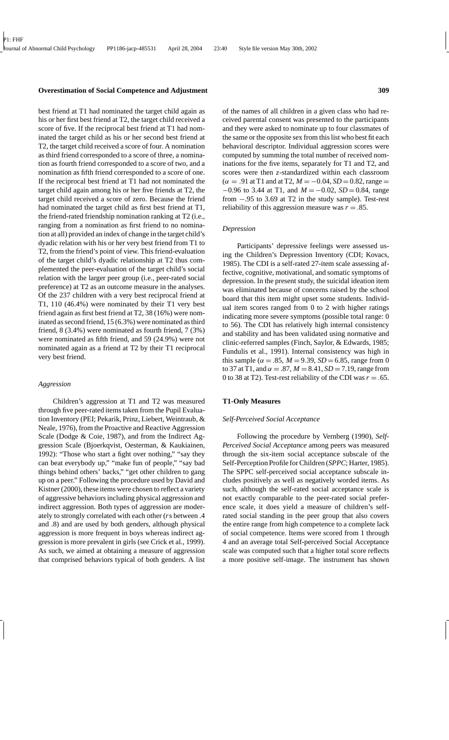# **Overestimation of Social Competence and Adjustment 309 309**

best friend at T1 had nominated the target child again as his or her first best friend at T2, the target child received a score of five. If the reciprocal best friend at T1 had nominated the target child as his or her second best friend at T2, the target child received a score of four. A nomination as third friend corresponded to a score of three, a nomination as fourth friend corresponded to a score of two, and a nomination as fifth friend corresponded to a score of one. If the reciprocal best friend at T1 had not nominated the target child again among his or her five friends at T2, the target child received a score of zero. Because the friend had nominated the target child as first best friend at T1, the friend-rated friendship nomination ranking at T2 (i.e., ranging from a nomination as first friend to no nomination at all) provided an index of change in the target child's dyadic relation with his or her very best friend from T1 to T2, from the friend's point of view. This friend-evaluation of the target child's dyadic relationship at T2 thus complemented the peer-evaluation of the target child's social relation with the larger peer group (i.e., peer-rated social preference) at T2 as an outcome measure in the analyses. Of the 237 children with a very best reciprocal friend at T1, 110 (46.4%) were nominated by their T1 very best friend again as first best friend at T2, 38 (16%) were nominated as second friend, 15 (6.3%) were nominated as third friend, 8 (3.4%) were nominated as fourth friend, 7 (3%) were nominated as fifth friend, and 59 (24.9%) were not nominated again as a friend at T2 by their T1 reciprocal very best friend.

## *Aggression*

Children's aggression at T1 and T2 was measured through five peer-rated items taken from the Pupil Evaluation Inventory (PEI; Pekarik, Prinz, Liebert, Weintraub, & Neale, 1976), from the Proactive and Reactive Aggression Scale (Dodge & Coie, 1987), and from the Indirect Aggression Scale (Bjoerkqvist, Oesterman, & Kaukiainen, 1992): "Those who start a fight over nothing," "say they can beat everybody up," "make fun of people," "say bad things behind others' backs," "get other children to gang up on a peer." Following the procedure used by David and Kistner (2000), these items were chosen to reflect a variety of aggressive behaviors including physical aggression and indirect aggression. Both types of aggression are moderately to strongly correlated with each other (*r*s between .4 and .8) and are used by both genders, although physical aggression is more frequent in boys whereas indirect aggression is more prevalent in girls (see Crick et al., 1999). As such, we aimed at obtaining a measure of aggression that comprised behaviors typical of both genders. A list of the names of all children in a given class who had received parental consent was presented to the participants and they were asked to nominate up to four classmates of the same or the opposite sex from this list who best fit each behavioral descriptor. Individual aggression scores were computed by summing the total number of received nominations for the five items, separately for T1 and T2, and scores were then *z*-standardized within each classroom  $(\alpha = .91 \text{ at T1 and at T2}, M = -0.04, SD = 0.82, range =$ −0.96 to 3.44 at T1, and *M* = −0.02, *SD* = 0.84, range from −.95 to 3.69 at T2 in the study sample). Test-rest reliability of this aggression measure was  $r = .85$ .

## *Depression*

Participants' depressive feelings were assessed using the Children's Depression Inventory (CDI; Kovacs, 1985). The CDI is a self-rated 27-item scale assessing affective, cognitive, motivational, and somatic symptoms of depression. In the present study, the suicidal ideation item was eliminated because of concerns raised by the school board that this item might upset some students. Individual item scores ranged from 0 to 2 with higher ratings indicating more severe symptoms (possible total range: 0 to 56). The CDI has relatively high internal consistency and stability and has been validated using normative and clinic-referred samples (Finch, Saylor, & Edwards, 1985; Fundulis et al., 1991). Internal consistency was high in this sample ( $\alpha = .85$ ,  $M = 9.39$ ,  $SD = 6.85$ , range from 0 to 37 at T1, and  $\alpha = .87$ ,  $M = 8.41$ ,  $SD = 7.19$ , range from 0 to 38 at T2). Test-rest reliability of the CDI was  $r = .65$ .

## **T1-Only Measures**

#### *Self-Perceived Social Acceptance*

Following the procedure by Vernberg (1990), *Self-Perceived Social Acceptance* among peers was measured through the six-item social acceptance subscale of the Self-Perception Profile for Children (*SPPC*; Harter, 1985). The SPPC self-perceived social acceptance subscale includes positively as well as negatively worded items. As such, although the self-rated social acceptance scale is not exactly comparable to the peer-rated social preference scale, it does yield a measure of children's selfrated social standing in the peer group that also covers the entire range from high competence to a complete lack of social competence. Items were scored from 1 through 4 and an average total Self-perceived Social Acceptance scale was computed such that a higher total score reflects a more positive self-image. The instrument has shown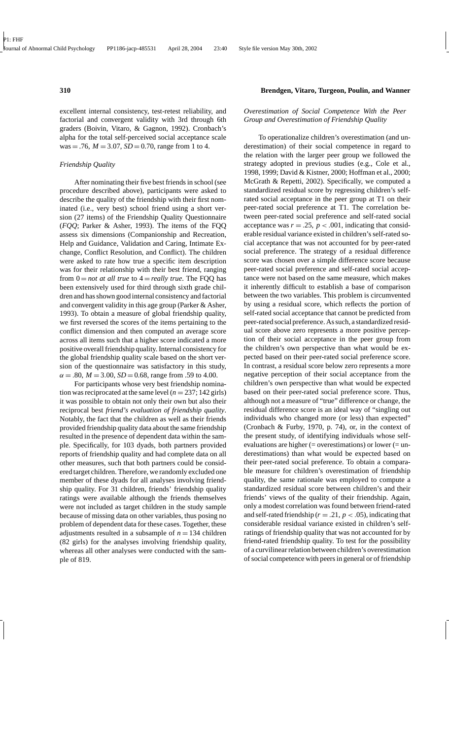excellent internal consistency, test-retest reliability, and factorial and convergent validity with 3rd through 6th graders (Boivin, Vitaro, & Gagnon, 1992). Cronbach's alpha for the total self-perceived social acceptance scale was  $= .76$ ,  $M = 3.07$ ,  $SD = 0.70$ , range from 1 to 4.

# *Friendship Quality*

After nominating their five best friends in school (see procedure described above), participants were asked to describe the quality of the friendship with their first nominated (i.e., very best) school friend using a short version (27 items) of the Friendship Quality Questionnaire (*FQQ*; Parker & Asher, 1993). The items of the FQQ assess six dimensions (Companionship and Recreation, Help and Guidance, Validation and Caring, Intimate Exchange, Conflict Resolution, and Conflict). The children were asked to rate how true a specific item description was for their relationship with their best friend, ranging from  $0 = not$  *at all true* to  $4 = really$  *true*. The FQQ has been extensively used for third through sixth grade children and has shown good internal consistency and factorial and convergent validity in this age group (Parker & Asher, 1993). To obtain a measure of global friendship quality, we first reversed the scores of the items pertaining to the conflict dimension and then computed an average score across all items such that a higher score indicated a more positive overall friendship quality. Internal consistency for the global friendship quality scale based on the short version of the questionnaire was satisfactory in this study,  $\alpha = .80, M = 3.00, SD = 0.68$ , range from .59 to 4.00.

For participants whose very best friendship nomination was reciprocated at the same level  $(n = 237; 142 \text{ girls})$ it was possible to obtain not only their own but also their reciprocal best *friend's evaluation of friendship quality*. Notably, the fact that the children as well as their friends provided friendship quality data about the same friendship resulted in the presence of dependent data within the sample. Specifically, for 103 dyads, both partners provided reports of friendship quality and had complete data on all other measures, such that both partners could be considered target children. Therefore, we randomly excluded one member of these dyads for all analyses involving friendship quality. For 31 children, friends' friendship quality ratings were available although the friends themselves were not included as target children in the study sample because of missing data on other variables, thus posing no problem of dependent data for these cases. Together, these adjustments resulted in a subsample of  $n = 134$  children (82 girls) for the analyses involving friendship quality, whereas all other analyses were conducted with the sample of 819.

*Overestimation of Social Competence With the Peer Group and Overestimation of Friendship Quality*

To operationalize children's overestimation (and underestimation) of their social competence in regard to the relation with the larger peer group we followed the strategy adopted in previous studies (e.g., Cole et al., 1998, 1999; David & Kistner, 2000; Hoffman et al., 2000; McGrath & Repetti, 2002). Specifically, we computed a standardized residual score by regressing children's selfrated social acceptance in the peer group at T1 on their peer-rated social preference at T1. The correlation between peer-rated social preference and self-rated social acceptance was  $r = .25$ ,  $p < .001$ , indicating that considerable residual variance existed in children's self-rated social acceptance that was not accounted for by peer-rated social preference. The strategy of a residual difference score was chosen over a simple difference score because peer-rated social preference and self-rated social acceptance were not based on the same measure, which makes it inherently difficult to establish a base of comparison between the two variables. This problem is circumvented by using a residual score, which reflects the portion of self-rated social acceptance that cannot be predicted from peer-rated social preference. As such, a standardized residual score above zero represents a more positive perception of their social acceptance in the peer group from the children's own perspective than what would be expected based on their peer-rated social preference score. In contrast, a residual score below zero represents a more negative perception of their social acceptance from the children's own perspective than what would be expected based on their peer-rated social preference score. Thus, although not a measure of "true" difference or change, the residual difference score is an ideal way of "singling out individuals who changed more (or less) than expected" (Cronbach & Furby, 1970, p. 74), or, in the context of the present study, of identifying individuals whose selfevaluations are higher (= overestimations) or lower (=  $un$ derestimations) than what would be expected based on their peer-rated social preference. To obtain a comparable measure for children's overestimation of friendship quality, the same rationale was employed to compute a standardized residual score between children's and their friends' views of the quality of their friendship. Again, only a modest correlation was found between friend-rated and self-rated friendship  $(r = .21, p < .05)$ , indicating that considerable residual variance existed in children's selfratings of friendship quality that was not accounted for by friend-rated friendship quality. To test for the possibility of a curvilinear relation between children's overestimation of social competence with peers in general or of friendship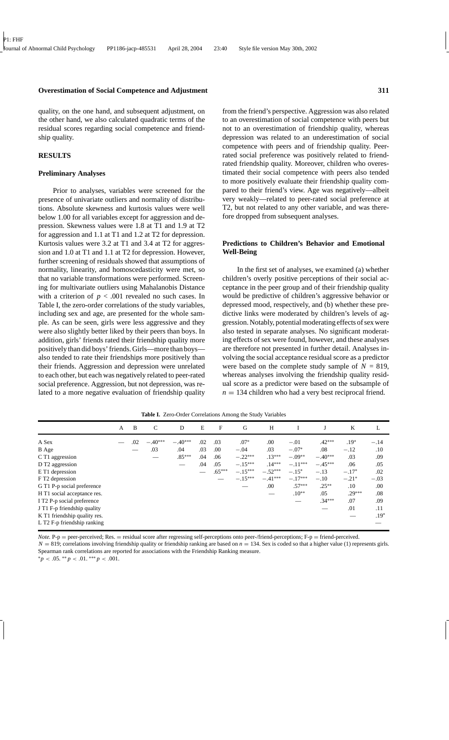# **Overestimation of Social Competence and Adjustment 311 311**

quality, on the one hand, and subsequent adjustment, on the other hand, we also calculated quadratic terms of the residual scores regarding social competence and friendship quality.

## **RESULTS**

## **Preliminary Analyses**

Prior to analyses, variables were screened for the presence of univariate outliers and normality of distributions. Absolute skewness and kurtosis values were well below 1.00 for all variables except for aggression and depression. Skewness values were 1.8 at T1 and 1.9 at T2 for aggression and 1.1 at T1 and 1.2 at T2 for depression. Kurtosis values were 3.2 at T1 and 3.4 at T2 for aggression and 1.0 at T1 and 1.1 at T2 for depression. However, further screening of residuals showed that assumptions of normality, linearity, and homoscedasticity were met, so that no variable transformations were performed. Screening for multivariate outliers using Mahalanobis Distance with a criterion of  $p < .001$  revealed no such cases. In Table I, the zero-order correlations of the study variables, including sex and age, are presented for the whole sample. As can be seen, girls were less aggressive and they were also slightly better liked by their peers than boys. In addition, girls' friends rated their friendship quality more positively than did boys' friends. Girls—more than boys also tended to rate their friendships more positively than their friends. Aggression and depression were unrelated to each other, but each was negatively related to peer-rated social preference. Aggression, but not depression, was related to a more negative evaluation of friendship quality

from the friend's perspective. Aggression was also related to an overestimation of social competence with peers but not to an overestimation of friendship quality, whereas depression was related to an underestimation of social competence with peers and of friendship quality. Peerrated social preference was positively related to friendrated friendship quality. Moreover, children who overestimated their social competence with peers also tended to more positively evaluate their friendship quality compared to their friend's view. Age was negatively—albeit very weakly—related to peer-rated social preference at T2, but not related to any other variable, and was therefore dropped from subsequent analyses.

# **Predictions to Children's Behavior and Emotional Well-Being**

In the first set of analyses, we examined (a) whether children's overly positive perceptions of their social acceptance in the peer group and of their friendship quality would be predictive of children's aggressive behavior or depressed mood, respectively, and (b) whether these predictive links were moderated by children's levels of aggression. Notably, potential moderating effects of sex were also tested in separate analyses. No significant moderating effects of sex were found, however, and these analyses are therefore not presented in further detail. Analyses involving the social acceptance residual score as a predictor were based on the complete study sample of  $N = 819$ , whereas analyses involving the friendship quality residual score as a predictor were based on the subsample of  $n = 134$  children who had a very best reciprocal friend.

|                                         | A | B   | C         | D         | E   | F        | G         | H         |           |           | K        |         |
|-----------------------------------------|---|-----|-----------|-----------|-----|----------|-----------|-----------|-----------|-----------|----------|---------|
| A Sex                                   |   | .02 | $-.40***$ | $-.40***$ | .02 | .03      | $.07*$    | .00       | $-.01$    | $.42***$  | $.19*$   | $-.14$  |
| B Age                                   |   |     | .03       | .04       | .03 | .00      | $-.04$    | .03       | $-.07*$   | .08       | $-.12$   | $.10\,$ |
| C T1 aggression                         |   |     |           | $.85***$  | .04 | .06      | $-.22***$ | $.13***$  | $-.09**$  | $-.40***$ | .03      | .09     |
| D T2 aggression                         |   |     |           |           | .04 | .05      | $-.15***$ | $.14***$  | $-.11***$ | $-.45***$ | .06      | .05     |
| E T1 depression                         |   |     |           |           |     | $.65***$ | $-.15***$ | $-.52***$ | $-.15*$   | $-.13$    | $-.17*$  | .02     |
| F T2 depression                         |   |     |           |           |     |          | $-.15***$ | $-.41***$ | $-.17***$ | $-.10$    | $-.21*$  | $-.03$  |
| G T1 P-p social preference              |   |     |           |           |     |          |           | .00       | $.57***$  | $.25***$  | $.10\,$  | .00.    |
| H T1 social acceptance res.             |   |     |           |           |     |          |           |           | $.10**$   | .05       | $.29***$ | .08     |
| I T2 P-p social preference              |   |     |           |           |     |          |           |           |           | $.34***$  | .07      | .09     |
| J T1 F-p friendship quality             |   |     |           |           |     |          |           |           |           |           | .01      | .11     |
| K T1 friendship quality res.            |   |     |           |           |     |          |           |           |           |           |          | $.19*$  |
| L T <sub>2</sub> F-p friendship ranking |   |     |           |           |     |          |           |           |           |           |          |         |

**Table I.** Zero-Order Correlations Among the Study Variables

*Note.* P-p = peer-perceived; Res. = residual score after regressing self-perceptions onto peer-/friend-perceptions; F-p = friend-perceived.

 $N = 819$ ; correlations involving friendship quality or friendship ranking are based on  $n = 134$ . Sex is coded so that a higher value (1) represents girls. Spearman rank correlations are reported for associations with the Friendship Ranking measure.

∗*p* < .05. ∗∗ *p* < .01. ∗∗∗ *p* < .001.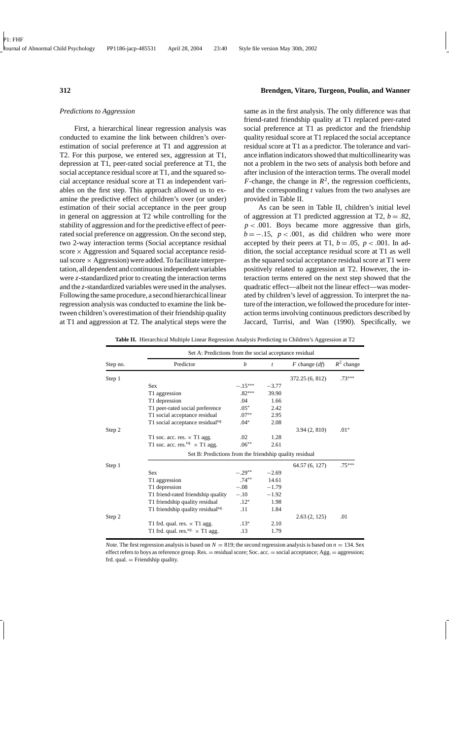# *Predictions to Aggression*

First, a hierarchical linear regression analysis was conducted to examine the link between children's overestimation of social preference at T1 and aggression at T2. For this purpose, we entered sex, aggression at T1, depression at T1, peer-rated social preference at T1, the social acceptance residual score at T1, and the squared social acceptance residual score at T1 as independent variables on the first step. This approach allowed us to examine the predictive effect of children's over (or under) estimation of their social acceptance in the peer group in general on aggression at T2 while controlling for the stability of aggression and for the predictive effect of peerrated social preference on aggression. On the second step, two 2-way interaction terms (Social acceptance residual score  $\times$  Aggression and Squared social acceptance residual score  $\times$  Aggression) were added. To facilitate interpretation, all dependent and continuous independent variables were *z*-standardized prior to creating the interaction terms and the *z*-standardized variables were used in the analyses. Following the same procedure, a second hierarchical linear regression analysis was conducted to examine the link between children's overestimation of their friendship quality at T1 and aggression at T2. The analytical steps were the

# **312 Brendgen, Vitaro, Turgeon, Poulin, and Wanner**

same as in the first analysis. The only difference was that friend-rated friendship quality at T1 replaced peer-rated social preference at T1 as predictor and the friendship quality residual score at T1 replaced the social acceptance residual score at T1 as a predictor. The tolerance and variance inflation indicators showed that multicollinearity was not a problem in the two sets of analysis both before and after inclusion of the interaction terms. The overall model *F*-change, the change in  $R^2$ , the regression coefficients, and the corresponding *t* values from the two analyses are provided in Table II.

As can be seen in Table II, children's initial level of aggression at T1 predicted aggression at T2,  $b = .82$ ,  $p < .001$ . Boys became more aggressive than girls,  $b = -.15$ ,  $p < .001$ , as did children who were more accepted by their peers at T1,  $b = .05$ ,  $p < .001$ . In addition, the social acceptance residual score at T1 as well as the squared social acceptance residual score at T1 were positively related to aggression at T2. However, the interaction terms entered on the next step showed that the quadratic effect—albeit not the linear effect—was moderated by children's level of aggression. To interpret the nature of the interaction, we followed the procedure for interaction terms involving continuous predictors described by Jaccard, Turrisi, and Wan (1990). Specifically, we

|          | Set A: Predictions from the social acceptance residual  |                     |         |                   |              |  |  |  |  |
|----------|---------------------------------------------------------|---------------------|---------|-------------------|--------------|--|--|--|--|
| Step no. | Predictor                                               | h<br>$\mathfrak{t}$ |         | $F$ change $(df)$ | $R^2$ change |  |  |  |  |
| Step 1   |                                                         |                     |         | 372.25 (6, 812)   | $.73***$     |  |  |  |  |
|          | <b>Sex</b>                                              | $-.15***$           | $-3.77$ |                   |              |  |  |  |  |
|          | T1 aggression                                           | $.82***$            | 39.90   |                   |              |  |  |  |  |
|          | T1 depression                                           | .04                 | 1.66    |                   |              |  |  |  |  |
|          | T1 peer-rated social preference                         | $.05*$              | 2.42    |                   |              |  |  |  |  |
|          | T1 social acceptance residual                           | $.07**$             | 2.95    |                   |              |  |  |  |  |
|          | T1 social acceptance residual <sup>sq.</sup>            | $.04*$              | 2.08    |                   |              |  |  |  |  |
| Step 2   |                                                         |                     |         | 3.94(2, 810)      | $.01*$       |  |  |  |  |
|          | T1 soc. acc. res. $\times$ T1 agg.                      | $.02\,$             | 1.28    |                   |              |  |  |  |  |
|          | T1 soc. acc. res. <sup>sq.</sup> $\times$ T1 agg.       | $.06**$             | 2.61    |                   |              |  |  |  |  |
|          | Set B: Predictions from the friendship quality residual |                     |         |                   |              |  |  |  |  |
| Step 1   |                                                         |                     |         | 64.57 (6, 127)    | $.75***$     |  |  |  |  |
|          | <b>Sex</b>                                              | $-.29**$            | $-2.69$ |                   |              |  |  |  |  |
|          | T1 aggression                                           | $.74***$            | 14.61   |                   |              |  |  |  |  |
|          | T1 depression                                           | $-.08$              | $-1.79$ |                   |              |  |  |  |  |
|          | T1 friend-rated friendship quality                      | $-.10$              | $-1.92$ |                   |              |  |  |  |  |
|          | T1 friendship quality residual                          | $.12*$              | 1.98    |                   |              |  |  |  |  |
|          | T1 friendship quality residual <sup>sq.</sup>           | .11                 | 1.84    |                   |              |  |  |  |  |
| Step 2   |                                                         |                     |         | 2.63(2, 125)      | .01          |  |  |  |  |
|          | T1 frd. qual. res. $\times$ T1 agg.                     | $.13*$              | 2.10    |                   |              |  |  |  |  |
|          | T1 frd. qual. res. <sup>sq.</sup> $\times$ T1 agg.      | .13                 | 1.79    |                   |              |  |  |  |  |

**Table II.** Hierarchical Multiple Linear Regression Analysis Predicting to Children's Aggression at T2

*Note.* The first regression analysis is based on  $N = 819$ ; the second regression analysis is based on  $n = 134$ . Sex effect refers to boys as reference group. Res. = residual score; Soc. acc. = social acceptance; Agg. = aggression; frd. qual.  $=$  Friendship quality.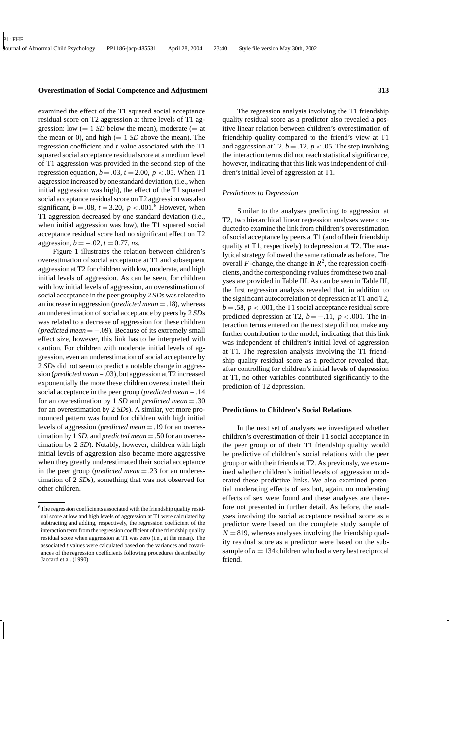#### **Overestimation of Social Competence and Adjustment 313**

examined the effect of the T1 squared social acceptance residual score on T2 aggression at three levels of T1 aggression: low  $(= 1 S D$  below the mean), moderate  $(= at$ the mean or 0), and high  $(= 1 SD)$  above the mean). The regression coefficient and *t* value associated with the T1 squared social acceptance residual score at a medium level of T1 aggression was provided in the second step of the regression equation,  $b = .03$ ,  $t = 2.00$ ,  $p < .05$ . When T1 aggression increased by one standard deviation, (i.e., when initial aggression was high), the effect of the T1 squared social acceptance residual score on T2 aggression was also significant,  $b = .08$ ,  $t = 3.20$ ,  $p < .001$ .<sup>6</sup> However, when T1 aggression decreased by one standard deviation (i.e., when initial aggression was low), the T1 squared social acceptance residual score had no significant effect on T2 aggression,  $b = -.02$ ,  $t = 0.77$ , *ns*.

Figure 1 illustrates the relation between children's overestimation of social acceptance at T1 and subsequent aggression at T2 for children with low, moderate, and high initial levels of aggression. As can be seen, for children with low initial levels of aggression, an overestimation of social acceptance in the peer group by 2 *SD*s was related to an increase in aggression (*predicted mean* = .18), whereas an underestimation of social acceptance by peers by 2 *SD*s was related to a decrease of aggression for these children (*predicted mean* = −.09). Because of its extremely small effect size, however, this link has to be interpreted with caution. For children with moderate initial levels of aggression, even an underestimation of social acceptance by 2 *SD*s did not seem to predict a notable change in aggression (*predicted mean* = .03), but aggression at T2 increased exponentially the more these children overestimated their social acceptance in the peer group (*predicted mean* = .14 for an overestimation by 1 *SD* and *predicted mean* = .30 for an overestimation by 2 *SD*s). A similar, yet more pronounced pattern was found for children with high initial levels of aggression (*predicted mean* = .19 for an overestimation by 1 *SD*, and *predicted mean* = .50 for an overestimation by 2 *SD*). Notably, however, children with high initial levels of aggression also became more aggressive when they greatly underestimated their social acceptance in the peer group (*predicted mean* = .23 for an underestimation of 2 *SD*s), something that was not observed for other children.

The regression analysis involving the T1 friendship quality residual score as a predictor also revealed a positive linear relation between children's overestimation of friendship quality compared to the friend's view at T1 and aggression at T2,  $b = .12$ ,  $p < .05$ . The step involving the interaction terms did not reach statistical significance, however, indicating that this link was independent of children's initial level of aggression at T1.

#### *Predictions to Depression*

Similar to the analyses predicting to aggression at T2, two hierarchical linear regression analyses were conducted to examine the link from children's overestimation of social acceptance by peers at T1 (and of their friendship quality at T1, respectively) to depression at T2. The analytical strategy followed the same rationale as before. The overall *F*-change, the change in  $R^2$ , the regression coefficients, and the corresponding *t* values from these two analyses are provided in Table III. As can be seen in Table III, the first regression analysis revealed that, in addition to the significant autocorrelation of depression at T1 and T2,  $b = .58$ ,  $p < .001$ , the T1 social acceptance residual score predicted depression at T2,  $b = -.11$ ,  $p < .001$ . The interaction terms entered on the next step did not make any further contribution to the model, indicating that this link was independent of children's initial level of aggression at T1. The regression analysis involving the T1 friendship quality residual score as a predictor revealed that, after controlling for children's initial levels of depression at T1, no other variables contributed significantly to the prediction of T2 depression.

#### **Predictions to Children's Social Relations**

In the next set of analyses we investigated whether children's overestimation of their T1 social acceptance in the peer group or of their T1 friendship quality would be predictive of children's social relations with the peer group or with their friends at T2. As previously, we examined whether children's initial levels of aggression moderated these predictive links. We also examined potential moderating effects of sex but, again, no moderating effects of sex were found and these analyses are therefore not presented in further detail. As before, the analyses involving the social acceptance residual score as a predictor were based on the complete study sample of  $N = 819$ , whereas analyses involving the friendship quality residual score as a predictor were based on the subsample of  $n = 134$  children who had a very best reciprocal friend.

<sup>6</sup>The regression coefficients associated with the friendship quality residual score at low and high levels of aggression at T1 were calculated by subtracting and adding, respectively, the regression coefficient of the interaction term from the regression coefficient of the friendship quality residual score when aggression at T1 was zero (i.e., at the mean). The associated *t* values were calculated based on the variances and covariances of the regression coefficients following procedures described by Jaccard et al. (1990).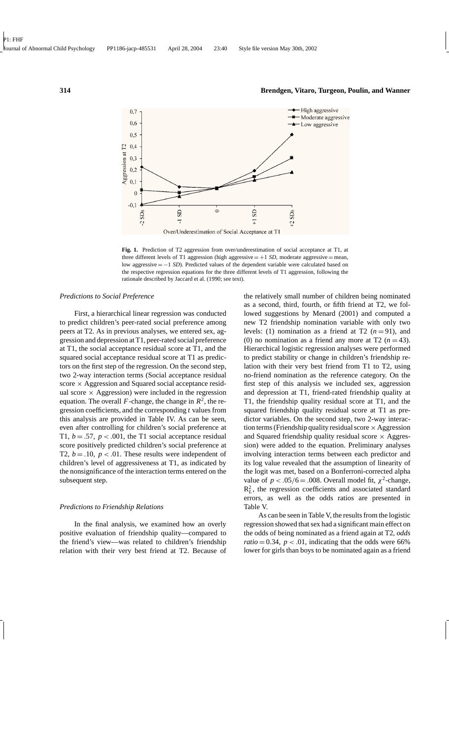

**Fig. 1.** Prediction of T2 aggression from over/underestimation of social acceptance at T1, at three different levels of T1 aggression (high aggressive  $= +1$  *SD*, moderate aggressive  $=$  mean, low aggressive = −1 *SD*). Predicted values of the dependent variable were calculated based on the respective regression equations for the three different levels of T1 aggression, following the rationale described by Jaccard et al. (1990; see text).

#### *Predictions to Social Preference*

First, a hierarchical linear regression was conducted to predict children's peer-rated social preference among peers at T2. As in previous analyses, we entered sex, aggression and depression at T1, peer-rated social preference at T1, the social acceptance residual score at T1, and the squared social acceptance residual score at T1 as predictors on the first step of the regression. On the second step, two 2-way interaction terms (Social acceptance residual score  $\times$  Aggression and Squared social acceptance residual score  $\times$  Aggression) were included in the regression equation. The overall  $F$ -change, the change in  $R^2$ , the regression coefficients, and the corresponding *t* values from this analysis are provided in Table IV. As can be seen, even after controlling for children's social preference at T1,  $b = .57$ ,  $p < .001$ , the T1 social acceptance residual score positively predicted children's social preference at T2,  $b = .10$ ,  $p < .01$ . These results were independent of children's level of aggressiveness at T1, as indicated by the nonsignificance of the interaction terms entered on the subsequent step.

### *Predictions to Friendship Relations*

In the final analysis, we examined how an overly positive evaluation of friendship quality—compared to the friend's view—was related to children's friendship relation with their very best friend at T2. Because of the relatively small number of children being nominated as a second, third, fourth, or fifth friend at T2, we followed suggestions by Menard (2001) and computed a new T2 friendship nomination variable with only two levels: (1) nomination as a friend at T2  $(n = 91)$ , and (0) no nomination as a friend any more at T2  $(n = 43)$ . Hierarchical logistic regression analyses were performed to predict stability or change in children's friendship relation with their very best friend from T1 to T2, using no-friend nomination as the reference category. On the first step of this analysis we included sex, aggression and depression at T1, friend-rated friendship quality at T1, the friendship quality residual score at T1, and the squared friendship quality residual score at T1 as predictor variables. On the second step, two 2-way interaction terms (Friendship quality residual score  $\times$  Aggression and Squared friendship quality residual score  $\times$  Aggression) were added to the equation. Preliminary analyses involving interaction terms between each predictor and its log value revealed that the assumption of linearity of the logit was met, based on a Bonferroni-corrected alpha value of  $p < .05/6 = .008$ . Overall model fit,  $\chi^2$ -change,  $R_L^2$ , the regression coefficients and associated standard errors, as well as the odds ratios are presented in Table V.

As can be seen in Table V, the results from the logistic regression showed that sex had a significant main effect on the odds of being nominated as a friend again at T2, *odds ratio* = 0.34,  $p < .01$ , indicating that the odds were 66% lower for girls than boys to be nominated again as a friend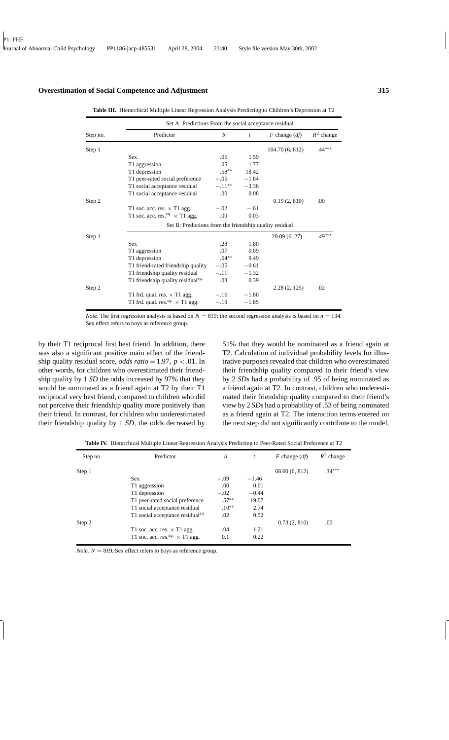|          | Set A: Predictions From the social acceptance residual  |           |                |                   |              |  |  |  |  |
|----------|---------------------------------------------------------|-----------|----------------|-------------------|--------------|--|--|--|--|
| Step no. | Predictor                                               | b         | $\mathfrak{t}$ | $F$ change $(df)$ | $R^2$ change |  |  |  |  |
| Step 1   |                                                         |           |                | 104.70 (6, 812)   | $.44***$     |  |  |  |  |
|          | <b>Sex</b>                                              | .05       | 1.59           |                   |              |  |  |  |  |
|          | T1 aggression                                           | .05       | 1.77           |                   |              |  |  |  |  |
|          | T1 depression                                           | $.58**$   | 18.42          |                   |              |  |  |  |  |
|          | T1 peer-rated social preference                         | $-.05$    | $-1.84$        |                   |              |  |  |  |  |
|          | T1 social acceptance residual                           | $-.11***$ | $-3.36$        |                   |              |  |  |  |  |
|          | T1 social acceptance residual                           | .00       | 0.08           |                   |              |  |  |  |  |
| Step 2   |                                                         |           |                | 0.19(2, 810)      | .00.         |  |  |  |  |
|          | T1 soc. acc. res. $\times$ T1 agg.                      | $-.02$    | $-.61$         |                   |              |  |  |  |  |
|          | T1 soc. acc. res. <sup>sq.</sup> $\times$ T1 agg.       | .00       | 0.03           |                   |              |  |  |  |  |
|          | Set B: Predictions from the friendship quality residual |           |                |                   |              |  |  |  |  |
| Step 1   |                                                         |           |                | 20.09(6, 27)      | .49***       |  |  |  |  |
|          | Sex                                                     | .28       | 1.80           |                   |              |  |  |  |  |
|          | T1 aggression                                           | .07       | 0.89           |                   |              |  |  |  |  |
|          | T1 depression                                           | $.64***$  | 9.49           |                   |              |  |  |  |  |
|          | T1 friend-rated friendship quality                      | $-.05$    | $-0.61$        |                   |              |  |  |  |  |
|          | T1 friendship quality residual                          | $-.11$    | $-1.32$        |                   |              |  |  |  |  |
|          | T1 friendship quality residual <sup>sq.</sup>           | .03       | 0.39           |                   |              |  |  |  |  |
| Step 2   |                                                         |           |                | 2.28(2, 125)      | .02          |  |  |  |  |
|          | T1 frd. qual. res. $\times$ T1 agg.                     | $-.16$    | $-1.80$        |                   |              |  |  |  |  |
|          | T1 frd. qual. res. <sup>sq.</sup> $\times$ T1 agg.      | $-.19$    | $-1.85$        |                   |              |  |  |  |  |

**Table III.** Hierarchical Multiple Linear Regression Analysis Predicting to Children's Depression at T2

*Note.* The first regression analysis is based on  $N = 819$ ; the second regression analysis is based on  $n = 134$ . Sex effect refers to boys as reference group.

by their T1 reciprocal first best friend. In addition, there was also a significant positive main effect of the friendship quality residual score, *odds ratio* = 1.97,  $p < .01$ . In other words, for children who overestimated their friendship quality by 1 *SD* the odds increased by 97% that they would be nominated as a friend again at T2 by their T1 reciprocal very best friend, compared to children who did not perceive their friendship quality more positively than their friend. In contrast, for children who underestimated their friendship quality by 1 *SD*, the odds decreased by 51% that they would be nominated as a friend again at T2. Calculation of individual probability levels for illustrative purposes revealed that children who overestimated their friendship quality compared to their friend's view by 2 *SD*s had a probability of .95 of being nominated as a friend again at T2. In contrast, children who underestimated their friendship quality compared to their friend's view by 2 *SD*s had a probability of .53 of being nominated as a friend again at T2. The interaction terms entered on the next step did not significantly contribute to the model,

**Table IV.** Hierarchical Multiple Linear Regression Analysis Predicting to Peer-Rated Social Preference at T2

| Step no. | Predictor                                         | $\boldsymbol{b}$ | $\mathfrak{t}$ | $F$ change $(df)$ | $R^2$ change |
|----------|---------------------------------------------------|------------------|----------------|-------------------|--------------|
| Step 1   |                                                   |                  |                | 68.60 (6, 812)    | $.34***$     |
|          | <b>Sex</b>                                        | $-.09$           | $-1.46$        |                   |              |
|          | T1 aggression                                     | .00.             | 0.01           |                   |              |
|          | T1 depression                                     | $-.02$           | $-0.44$        |                   |              |
|          | T1 peer-rated social preference                   | $.57**$          | 19.07          |                   |              |
|          | T1 social acceptance residual                     | $.10**$          | 2.74           |                   |              |
|          | T1 social acceptance residual <sup>sq.</sup>      | .02              | 0.52           |                   |              |
| Step 2   |                                                   |                  |                | 0.73(2, 810)      | .00          |
|          | T1 soc. acc. res. $\times$ T1 agg.                | .04              | 1.21           |                   |              |
|          | T1 soc. acc. res. <sup>sq.</sup> $\times$ T1 agg. | 0.1              | 0.22           |                   |              |

*Note.*  $N = 819$ . Sex effect refers to boys as reference group.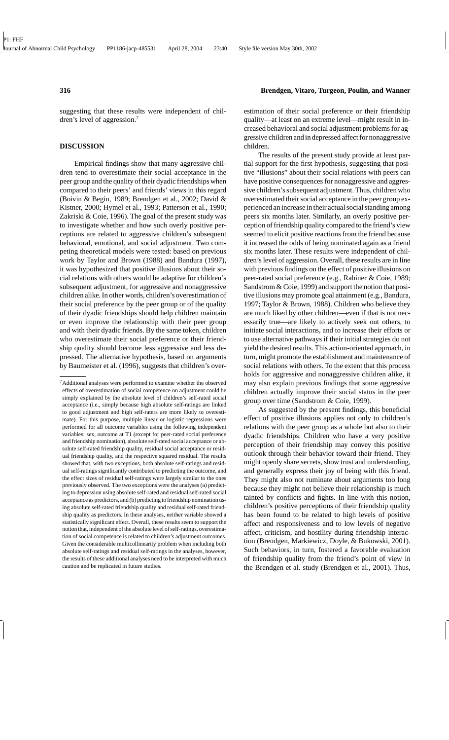suggesting that these results were independent of children's level of aggression.<sup>7</sup>

## **DISCUSSION**

Empirical findings show that many aggressive children tend to overestimate their social acceptance in the peer group and the quality of their dyadic friendships when compared to their peers' and friends' views in this regard (Boivin & Begin, 1989; Brendgen et al., 2002; David & Kistner, 2000; Hymel et al., 1993; Patterson et al., 1990; Zakriski & Coie, 1996). The goal of the present study was to investigate whether and how such overly positive perceptions are related to aggressive children's subsequent behavioral, emotional, and social adjustment. Two competing theoretical models were tested: based on previous work by Taylor and Brown (1988) and Bandura (1997), it was hypothesized that positive illusions about their social relations with others would be adaptive for children's subsequent adjustment, for aggressive and nonaggressive children alike. In other words, children's overestimation of their social preference by the peer group or of the quality of their dyadic friendships should help children maintain or even improve the relationship with their peer group and with their dyadic friends. By the same token, children who overestimate their social preference or their friendship quality should become less aggressive and less depressed. The alternative hypothesis, based on arguments by Baumeister et al. (1996), suggests that children's overestimation of their social preference or their friendship quality—at least on an extreme level—might result in increased behavioral and social adjustment problems for aggressive children and in depressed affect for nonaggressive children.

The results of the present study provide at least partial support for the first hypothesis, suggesting that positive "illusions" about their social relations with peers can have positive consequences for nonaggressive and aggressive children's subsequent adjustment. Thus, children who overestimated their social acceptance in the peer group experienced an increase in their actual social standing among peers six months later. Similarly, an overly positive perception of friendship quality compared to the friend's view seemed to elicit positive reactions from the friend because it increased the odds of being nominated again as a friend six months later. These results were independent of children's level of aggression. Overall, these results are in line with previous findings on the effect of positive illusions on peer-rated social preference (e.g., Rabiner & Coie, 1989; Sandstrom & Coie, 1999) and support the notion that positive illusions may promote goal attainment (e.g., Bandura, 1997; Taylor & Brown, 1988). Children who believe they are much liked by other children—even if that is not necessarily true—are likely to actively seek out others, to initiate social interactions, and to increase their efforts or to use alternative pathways if their initial strategies do not yield the desired results. This action-oriented approach, in turn, might promote the establishment and maintenance of social relations with others. To the extent that this process holds for aggressive and nonaggressive children alike, it may also explain previous findings that some aggressive children actually improve their social status in the peer group over time (Sandstrom & Coie, 1999).

As suggested by the present findings, this beneficial effect of positive illusions applies not only to children's relations with the peer group as a whole but also to their dyadic friendships. Children who have a very positive perception of their friendship may convey this positive outlook through their behavior toward their friend. They might openly share secrets, show trust and understanding, and generally express their joy of being with this friend. They might also not ruminate about arguments too long because they might not believe their relationship is much tainted by conflicts and fights. In line with this notion, children's positive perceptions of their friendship quality has been found to be related to high levels of positive affect and responsiveness and to low levels of negative affect, criticism, and hostility during friendship interaction (Brendgen, Markiewicz, Doyle, & Bukowski, 2001). Such behaviors, in turn, fostered a favorable evaluation of friendship quality from the friend's point of view in the Brendgen et al. study (Brendgen et al., 2001). Thus,

<sup>7</sup>Additional analyses were performed to examine whether the observed effects of overestimation of social competence on adjustment could be simply explained by the absolute level of children's self-rated social acceptance (i.e., simply because high absolute self-ratings are linked to good adjustment and high self-raters are more likely to overestimate). For this purpose, multiple linear or logistic regressions were performed for all outcome variables using the following independent variables: sex, outcome at T1 (except for peer-rated social preference and friendship nomination), absolute self-rated social acceptance or absolute self-rated friendship quality, residual social acceptance or residual friendship quality, and the respective squared residual. The results showed that, with two exceptions, both absolute self-ratings and residual self-ratings significantly contributed to predicting the outcome, and the effect sizes of residual self-ratings were largely similar to the ones previously observed. The two exceptions were the analyses (a) predicting to depression using absolute self-rated and residual self-rated social acceptance as predictors, and (b) predicting to friendship nomination using absolute self-rated friendship quality and residual self-rated friendship quality as predictors. In these analyses, neither variable showed a statistically significant effect. Overall, these results seem to support the notion that, independent of the absolute level of self-ratings, overestimation of social competence is related to children's adjustment outcomes. Given the considerable multicollinearity problem when including both absolute self-ratings and residual self-ratings in the analyses, however, the results of these additional analyses need to be interpreted with much caution and be replicated in future studies.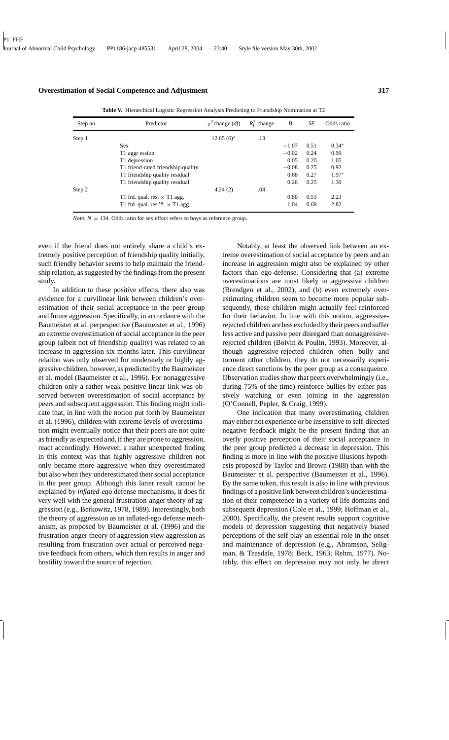| Step no. | Predictor                                          | $\chi^2$ change ( <i>df</i> ) | $R_{I}^{2}$ change | B       | SE   | Odds ratio |
|----------|----------------------------------------------------|-------------------------------|--------------------|---------|------|------------|
| Step 1   |                                                    | $12.65(6)^*$                  | .13                |         |      |            |
|          | <b>Sex</b>                                         |                               |                    | $-1.07$ | 0.51 | $0.34*$    |
|          | T1 aggr ession                                     |                               |                    | $-0.02$ | 0.24 | 0.99       |
|          | T1 depression                                      |                               |                    | 0.05    | 0.20 | 1.05       |
|          | T1 friend-rated friendship quality                 |                               |                    | $-0.08$ | 0.25 | 0.92       |
|          | T1 friendship quality residual                     |                               |                    | 0.68    | 0.27 | $1.97*$    |
|          | T1 friendship quality residual                     |                               |                    | 0.26    | 0.25 | 1.30       |
| Step 2   |                                                    | 4.24(2)                       | .04                |         |      |            |
|          | T1 frd. qual. res. $\times$ T1 agg.                |                               |                    | 0.80    | 0.53 | 2.23       |
|          | T1 frd. qual. res. <sup>sq.</sup> $\times$ T1 agg. |                               |                    | 1.04    | 0.68 | 2.82       |

**Table V.** Hierarchical Logistic Regression Analysis Predicting to Friendship Nomination at T2

*Note.*  $N = 134$ . Odds ratio for sex effect refers to boys as reference group.

even if the friend does not entirely share a child's extremely positive perception of friendship quality initially, such friendly behavior seems to help maintain the friendship relation, as suggested by the findings from the present study.

In addition to these positive effects, there also was evidence for a curvilinear link between children's overestimation of their social acceptance in the peer group and future aggression. Specifically, in accordance with the Baumeister et al. perpespective (Baumeister et al., 1996) an extreme overestimation of social acceptance in the peer group (albeit not of friendship quality) was related to an increase in aggression six months later. This curvilinear relation was only observed for moderately or highly aggressive children, however, as predicted by the Baumeister et al. model (Baumeister et al., 1996). For nonaggressive children only a rather weak positive linear link was observed between overestimation of social acceptance by peers and subsequent aggression. This finding might indicate that, in line with the notion put forth by Baumeister et al. (1996), children with extreme levels of overestimation might eventually notice that their peers are not quite as friendly as expected and, if they are prone to aggression, react accordingly. However, a rather unexpected finding in this context was that highly aggressive children not only became more aggressive when they overestimated but also when they underestimated their social acceptance in the peer group. Although this latter result cannot be explained by *inflated-ego* defense mechanisms, it does fit very well with the general frustration-anger theory of aggression (e.g., Berkowitz, 1978, 1989). Interestingly, both the theory of aggression as an inflated-ego defense mechanism, as proposed by Baumeister et al. (1996) and the frustration-anger theory of aggression view aggression as resulting from frustration over actual or perceived negative feedback from others, which then results in anger and hostility toward the source of rejection.

Notably, at least the observed link between an extreme overestimation of social acceptance by peers and an increase in aggression might also be explained by other factors than ego-defense. Considering that (a) extreme overestimations are most likely in aggressive children (Brendgen et al., 2002), and (b) even extremely overestimating children seem to become more popular subsequently, these children might actually feel reinforced for their behavior. In line with this notion, aggressiverejected children are less excluded by their peers and suffer less active and passive peer disregard than nonaggressiverejected children (Boivin & Poulin, 1993). Moreover, although aggressive-rejected children often bully and torment other children, they do not necessarily experience direct sanctions by the peer group as a consequence. Observation studies show that peers overwhelmingly (i.e., during 75% of the time) reinforce bullies by either passively watching or even joining in the aggression (O'Connell, Pepler, & Craig, 1999).

One indication that many overestimating children may either not experience or be insensitive to self-directed negative feedback might be the present finding that an overly positive perception of their social acceptance in the peer group predicted a decrease in depression. This finding is more in line with the positive illusions hypothesis proposed by Taylor and Brown (1988) than with the Baumeister et al. perspective (Baumeister et al., 1996). By the same token, this result is also in line with previous findings of a positive link between children's underestimation of their competence in a variety of life domains and subsequent depression (Cole et al., 1999; Hoffman et al., 2000). Specifically, the present results support cognitive models of depression suggesting that negatively biased perceptions of the self play an essential role in the onset and maintenance of depression (e.g., Abramson, Seligman, & Teasdale, 1978; Beck, 1963; Rehm, 1977). Notably, this effect on depression may not only be direct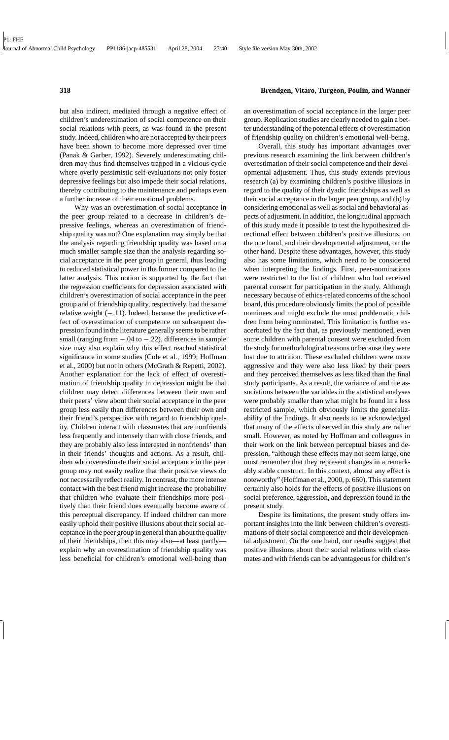but also indirect, mediated through a negative effect of children's underestimation of social competence on their social relations with peers, as was found in the present study. Indeed, children who are not accepted by their peers have been shown to become more depressed over time (Panak & Garber, 1992). Severely underestimating children may thus find themselves trapped in a vicious cycle where overly pessimistic self-evaluations not only foster depressive feelings but also impede their social relations, thereby contributing to the maintenance and perhaps even a further increase of their emotional problems.

Why was an overestimation of social acceptance in the peer group related to a decrease in children's depressive feelings, whereas an overestimation of friendship quality was not? One explanation may simply be that the analysis regarding friendship quality was based on a much smaller sample size than the analysis regarding social acceptance in the peer group in general, thus leading to reduced statistical power in the former compared to the latter analysis. This notion is supported by the fact that the regression coefficients for depression associated with children's overestimation of social acceptance in the peer group and of friendship quality, respectively, had the same relative weight  $(-.11)$ . Indeed, because the predictive effect of overestimation of competence on subsequent depression found in the literature generally seems to be rather small (ranging from  $-.04$  to  $-.22$ ), differences in sample size may also explain why this effect reached statistical significance in some studies (Cole et al., 1999; Hoffman et al., 2000) but not in others (McGrath & Repetti, 2002). Another explanation for the lack of effect of overestimation of friendship quality in depression might be that children may detect differences between their own and their peers' view about their social acceptance in the peer group less easily than differences between their own and their friend's perspective with regard to friendship quality. Children interact with classmates that are nonfriends less frequently and intensely than with close friends, and they are probably also less interested in nonfriends' than in their friends' thoughts and actions. As a result, children who overestimate their social acceptance in the peer group may not easily realize that their positive views do not necessarily reflect reality. In contrast, the more intense contact with the best friend might increase the probability that children who evaluate their friendships more positively than their friend does eventually become aware of this perceptual discrepancy. If indeed children can more easily uphold their positive illusions about their social acceptance in the peer group in general than about the quality of their friendships, then this may also—at least partly explain why an overestimation of friendship quality was less beneficial for children's emotional well-being than

an overestimation of social acceptance in the larger peer group. Replication studies are clearly needed to gain a better understanding of the potential effects of overestimation of friendship quality on children's emotional well-being.

Overall, this study has important advantages over previous research examining the link between children's overestimation of their social competence and their developmental adjustment. Thus, this study extends previous research (a) by examining children's positive illusions in regard to the quality of their dyadic friendships as well as their social acceptance in the larger peer group, and (b) by considering emotional as well as social and behavioral aspects of adjustment. In addition, the longitudinal approach of this study made it possible to test the hypothesized directional effect between children's positive illusions, on the one hand, and their developmental adjustment, on the other hand. Despite these advantages, however, this study also has some limitations, which need to be considered when interpreting the findings. First, peer-nominations were restricted to the list of children who had received parental consent for participation in the study. Although necessary because of ethics-related concerns of the school board, this procedure obviously limits the pool of possible nominees and might exclude the most problematic children from being nominated. This limitation is further exacerbated by the fact that, as previously mentioned, even some children with parental consent were excluded from the study for methodological reasons or because they were lost due to attrition. These excluded children were more aggressive and they were also less liked by their peers and they perceived themselves as less liked than the final study participants. As a result, the variance of and the associations between the variables in the statistical analyses were probably smaller than what might be found in a less restricted sample, which obviously limits the generalizability of the findings. It also needs to be acknowledged that many of the effects observed in this study are rather small. However, as noted by Hoffman and colleagues in their work on the link between perceptual biases and depression, "although these effects may not seem large, one must remember that they represent changes in a remarkably stable construct. In this context, almost any effect is noteworthy" (Hoffman et al., 2000, p. 660). This statement certainly also holds for the effects of positive illusions on social preference, aggression, and depression found in the present study.

Despite its limitations, the present study offers important insights into the link between children's overestimations of their social competence and their developmental adjustment. On the one hand, our results suggest that positive illusions about their social relations with classmates and with friends can be advantageous for children's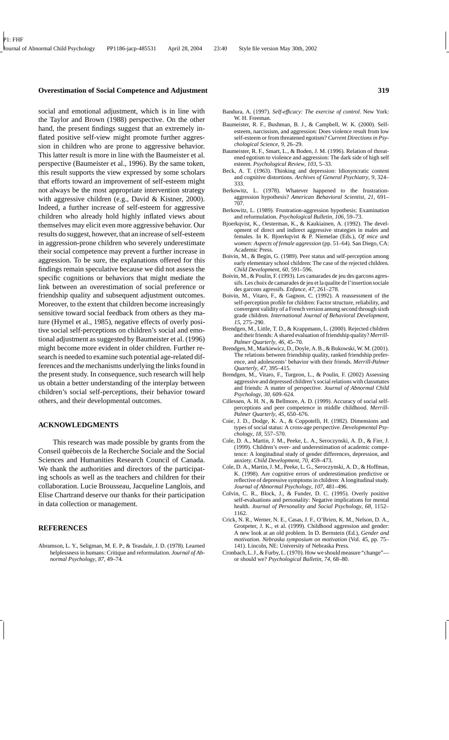#### **Overestimation of Social Competence and Adjustment 319** 319

social and emotional adjustment, which is in line with the Taylor and Brown (1988) perspective. On the other hand, the present findings suggest that an extremely inflated positive self-view might promote further aggression in children who are prone to aggressive behavior. This latter result is more in line with the Baumeister et al. perspective (Baumeister et al., 1996). By the same token, this result supports the view expressed by some scholars that efforts toward an improvement of self-esteem might not always be the most appropriate intervention strategy with aggressive children (e.g., David & Kistner, 2000). Indeed, a further increase of self-esteem for aggressive children who already hold highly inflated views about themselves may elicit even more aggressive behavior. Our results do suggest, however, that an increase of self-esteem in aggression-prone children who severely underestimate their social competence may prevent a further increase in aggression. To be sure, the explanations offered for this findings remain speculative because we did not assess the specific cognitions or behaviors that might mediate the link between an overestimation of social preference or friendship quality and subsequent adjustment outcomes. Moreover, to the extent that children become increasingly sensitive toward social feedback from others as they mature (Hymel et al., 1985), negative effects of overly positive social self-perceptions on children's social and emotional adjustment as suggested by Baumeister et al. (1996) might become more evident in older children. Further research is needed to examine such potential age-related differences and the mechanisms underlying the links found in the present study. In consequence, such research will help us obtain a better understanding of the interplay between children's social self-perceptions, their behavior toward others, and their developmental outcomes.

#### **ACKNOWLEDGMENTS**

This research was made possible by grants from the Conseil québecois de la Recherche Sociale and the Social Sciences and Humanities Research Council of Canada. We thank the authorities and directors of the participating schools as well as the teachers and children for their collaboration. Lucie Brousseau, Jacqueline Langlois, and Elise Chartrand deserve our thanks for their participation in data collection or management.

## **REFERENCES**

Abramson, L. Y., Seligman, M. E. P., & Teasdale, J. D. (1978). Learned helplessness in humans: Critique and reformulation. *Journal of Abnormal Psychology*, *87,* 49–74.

- Bandura, A. (1997). *Self-efficacy: The exercise of control*. New York: W. H. Freeman.
- Baumeister, R. F., Bushman, B. J., & Campbell, W. K. (2000). Selfesteem, narcissism, and aggression: Does violence result from low self-esteem or from threatened egotism? *Current Directions in Psychological Science*, *9,* 26–29.
- Baumeister, R. F., Smart, L., & Boden, J. M. (1996). Relation of threatened egotism to violence and aggression: The dark side of high self esteem. *Psychological Review*, *103,* 5–33.
- Beck, A. T. (1963). Thinking and depression: Idiosyncratic content and cognitive distortions. *Archives of General Psychiatry*, *9,* 324– 333.
- Berkowitz, L. (1978). Whatever happened to the frustrationaggression hypothesis? *American Behavioral Scientist*, *21,* 691– 707.
- Berkowitz, L. (1989). Frustration-aggression hypothesis: Examination and reformulation. *Psychological Bulletin*, *106,* 59–73.
- Bjoerkqvist, K., Oesterman, K., & Kaukiainen, A. (1992). The development of direct and indirect aggressive strategies in males and females. In K. Bjoerkqvist & P. Niemelae (Eds.), *Of mice and women: Aspects of female aggression* (pp. 51–64). San Diego, CA: Academic Press.
- Boivin, M., & Begin, G. (1989). Peer status and self-perception among early elementary school children: The case of the rejected children. *Child Development*, *60,* 591–596.
- Boivin, M., & Poulin, F. (1993). Les camarades de jeu des garcons agressifs. Les choix de camarades de jeu et la qualite de l'insertion sociale des garcons agressifs. *Enfance*, *47,* 261–278.
- Boivin, M., Vitaro, F., & Gagnon, C. (1992). A reassessment of the self-perception profile for children: Factor structure, reliability, and convergent validity of a French version among second through sixth grade children. *International Journal of Behavioral Development*, *15,* 275–290.
- Brendgen, M., Little, T. D., & Krappmann, L. (2000). Rejected children and their friends: A shared evaluation of friendship quality? *Merrill-Palmer Quarterly*, *46,* 45–70.
- Brendgen, M., Markiewicz, D., Doyle, A. B., & Bukowski, W. M. (2001). The relations between friendship quality, ranked friendship preference, and adolescents' behavior with their friends. *Merrill-Palmer Quarterly*, *47,* 395–415.
- Brendgen, M., Vitaro, F., Turgeon, L., & Poulin, F. (2002) Assessing aggressive and depressed children's social relations with classmates and friends: A matter of perspective. *Journal of Abnormal Child Psychology*, *30,* 609–624.
- Cillessen, A. H. N., & Bellmore, A. D. (1999). Accuracy of social selfperceptions and peer competence in middle childhood. *Merrill-Palmer Quarterly*, *45,* 650–676.
- Coie, J. D., Dodge, K. A., & Coppotelli, H. (1982). Dimensions and types of social status: A cross-age perspective. *Developmental Psychology*, *18,* 557–570.
- Cole, D. A., Martin, J. M., Peeke, L. A., Seroczynski, A. D., & Fier, J. (1999). Children's over- and underestimation of academic competence: A longitudinal study of gender differences, depression, and anxiety. *Child Development*, *70,* 459–473.
- Cole, D. A., Martin, J. M., Peeke, L. G., Seroczynski, A. D., & Hoffman, K. (1998). Are cognitive errors of underestimation predictive or reflective of depressive symptoms in children: A longitudinal study. *Journal of Abnormal Psychology*, *107,* 481–496.
- Colvin, C. R., Block, J., & Funder, D. C. (1995). Overly positive self-evaluations and personality: Negative implications for mental health. *Journal of Personality and Social Psychology*, *68,* 1152– 1162.
- Crick, N. R., Werner, N. E., Casas, J. F., O'Brien, K. M., Nelson, D. A., Grotpeter, J. K., et al. (1999). Childhood aggression and gender: A new look at an old problem. In D. Bernstein (Ed.), *Gender and motivation. Nebraska symposium on motivation* (Vol. 45, pp. 75– 141). Lincoln, NE: University of Nebraska Press.
- Cronbach, L. J., & Furby, L. (1970). How we should measure "change" or should we? *Psychological Bulletin*, *74,* 68–80.